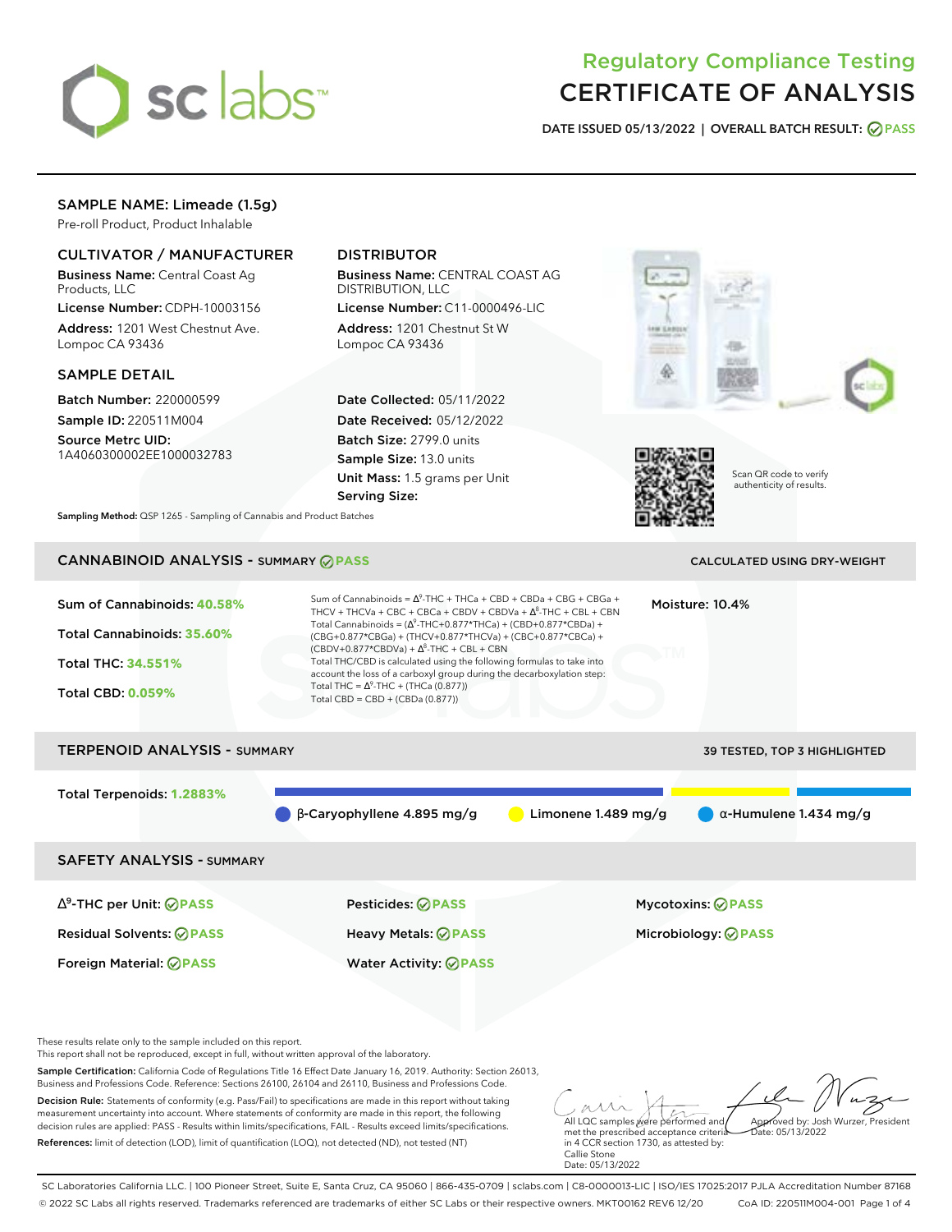

# Regulatory Compliance Testing CERTIFICATE OF ANALYSIS

**DATE ISSUED 05/13/2022 | OVERALL BATCH RESULT: PASS**

# SAMPLE NAME: Limeade (1.5g)

Pre-roll Product, Product Inhalable

### CULTIVATOR / MANUFACTURER

Business Name: Central Coast Ag Products, LLC

License Number: CDPH-10003156 Address: 1201 West Chestnut Ave. Lompoc CA 93436

#### SAMPLE DETAIL

Batch Number: 220000599 Sample ID: 220511M004

Source Metrc UID: 1A4060300002EE1000032783

# DISTRIBUTOR

Business Name: CENTRAL COAST AG DISTRIBUTION, LLC

License Number: C11-0000496-LIC Address: 1201 Chestnut St W Lompoc CA 93436

Date Collected: 05/11/2022 Date Received: 05/12/2022 Batch Size: 2799.0 units Sample Size: 13.0 units Unit Mass: 1.5 grams per Unit Serving Size:





Scan QR code to verify authenticity of results.

**Sampling Method:** QSP 1265 - Sampling of Cannabis and Product Batches

# CANNABINOID ANALYSIS - SUMMARY **PASS** CALCULATED USING DRY-WEIGHT

| Sum of Cannabinoids: 40.58%<br>Total Cannabinoids: 35.60%<br><b>Total THC: 34.551%</b><br><b>Total CBD: 0.059%</b> | Sum of Cannabinoids = $\Delta^9$ -THC + THCa + CBD + CBDa + CBG + CBGa +<br>Moisture: 10.4%<br>THCV + THCVa + CBC + CBCa + CBDV + CBDVa + $\Delta^8$ -THC + CBL + CBN<br>Total Cannabinoids = $(\Delta^9$ -THC+0.877*THCa) + (CBD+0.877*CBDa) +<br>(CBG+0.877*CBGa) + (THCV+0.877*THCVa) + (CBC+0.877*CBCa) +<br>$(CBDV+0.877*CBDVa) + \Delta^{8}$ -THC + CBL + CBN<br>Total THC/CBD is calculated using the following formulas to take into<br>account the loss of a carboxyl group during the decarboxylation step:<br>Total THC = $\Delta^9$ -THC + (THCa (0.877))<br>Total CBD = $CBD + (CBDa (0.877))$ |                       |                                     |  |  |
|--------------------------------------------------------------------------------------------------------------------|-------------------------------------------------------------------------------------------------------------------------------------------------------------------------------------------------------------------------------------------------------------------------------------------------------------------------------------------------------------------------------------------------------------------------------------------------------------------------------------------------------------------------------------------------------------------------------------------------------------|-----------------------|-------------------------------------|--|--|
| <b>TERPENOID ANALYSIS - SUMMARY</b>                                                                                |                                                                                                                                                                                                                                                                                                                                                                                                                                                                                                                                                                                                             |                       | <b>39 TESTED, TOP 3 HIGHLIGHTED</b> |  |  |
| Total Terpenoids: 1.2883%                                                                                          | $\beta$ -Caryophyllene 4.895 mg/g                                                                                                                                                                                                                                                                                                                                                                                                                                                                                                                                                                           | Limonene $1.489$ mg/g | $\alpha$ -Humulene 1.434 mg/g       |  |  |
| <b>SAFETY ANALYSIS - SUMMARY</b>                                                                                   |                                                                                                                                                                                                                                                                                                                                                                                                                                                                                                                                                                                                             |                       |                                     |  |  |
| $\Delta^9$ -THC per Unit: $\bigcirc$ PASS                                                                          | <b>Pesticides: ⊘ PASS</b>                                                                                                                                                                                                                                                                                                                                                                                                                                                                                                                                                                                   |                       | <b>Mycotoxins: ⊘PASS</b>            |  |  |
| <b>Residual Solvents: ⊘PASS</b>                                                                                    | Heavy Metals: ⊘PASS                                                                                                                                                                                                                                                                                                                                                                                                                                                                                                                                                                                         |                       | Microbiology: <b>⊘PASS</b>          |  |  |
| Foreign Material: <b>ØPASS</b>                                                                                     | <b>Water Activity: ◎ PASS</b>                                                                                                                                                                                                                                                                                                                                                                                                                                                                                                                                                                               |                       |                                     |  |  |

These results relate only to the sample included on this report.

This report shall not be reproduced, except in full, without written approval of the laboratory.

Sample Certification: California Code of Regulations Title 16 Effect Date January 16, 2019. Authority: Section 26013, Business and Professions Code. Reference: Sections 26100, 26104 and 26110, Business and Professions Code.

Decision Rule: Statements of conformity (e.g. Pass/Fail) to specifications are made in this report without taking measurement uncertainty into account. Where statements of conformity are made in this report, the following decision rules are applied: PASS - Results within limits/specifications, FAIL - Results exceed limits/specifications. References: limit of detection (LOD), limit of quantification (LOQ), not detected (ND), not tested (NT)

All LQC samples were performed and Approved by: Josh Wurzer, President Date: 05/13/2022

met the prescribed acceptance criteria in 4 CCR section 1730, as attested by: Callie Stone Date: 05/13/2022

SC Laboratories California LLC. | 100 Pioneer Street, Suite E, Santa Cruz, CA 95060 | 866-435-0709 | sclabs.com | C8-0000013-LIC | ISO/IES 17025:2017 PJLA Accreditation Number 87168 © 2022 SC Labs all rights reserved. Trademarks referenced are trademarks of either SC Labs or their respective owners. MKT00162 REV6 12/20 CoA ID: 220511M004-001 Page 1 of 4